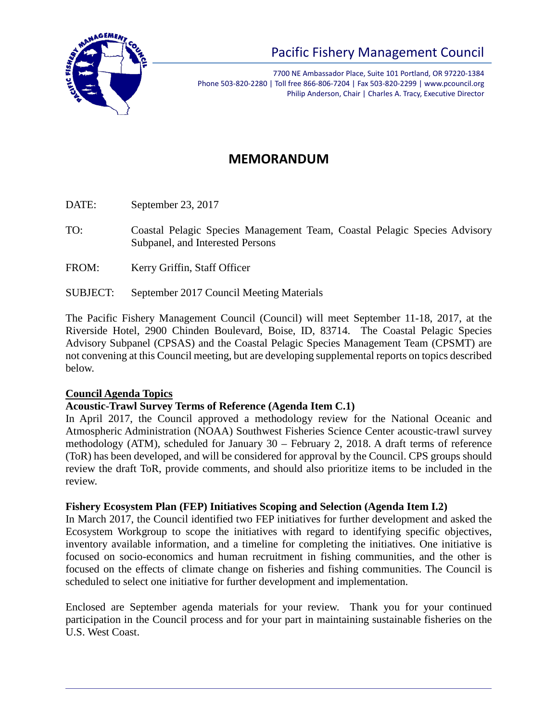

7700 NE Ambassador Place, Suite 101 Portland, OR 97220-1384 Phone 503-820-2280 | Toll free 866-806-7204 | Fax 503-820-2299 | www.pcouncil.org Philip Anderson, Chair | Charles A. Tracy, Executive Director

# **MEMORANDUM**

DATE: September 23, 2017

- TO: Coastal Pelagic Species Management Team, Coastal Pelagic Species Advisory Subpanel, and Interested Persons
- FROM: Kerry Griffin, Staff Officer
- SUBJECT: September 2017 Council Meeting Materials

The Pacific Fishery Management Council (Council) will meet September 11-18, 2017, at the Riverside Hotel, 2900 Chinden Boulevard, Boise, ID, 83714. The Coastal Pelagic Species Advisory Subpanel (CPSAS) and the Coastal Pelagic Species Management Team (CPSMT) are not convening at this Council meeting, but are developing supplemental reports on topics described below.

### **Council Agenda Topics**

### **Acoustic-Trawl Survey Terms of Reference (Agenda Item C.1)**

In April 2017, the Council approved a methodology review for the National Oceanic and Atmospheric Administration (NOAA) Southwest Fisheries Science Center acoustic-trawl survey methodology (ATM), scheduled for January 30 – February 2, 2018. A draft terms of reference (ToR) has been developed, and will be considered for approval by the Council. CPS groups should review the draft ToR, provide comments, and should also prioritize items to be included in the review.

### **Fishery Ecosystem Plan (FEP) Initiatives Scoping and Selection (Agenda Item I.2)**

In March 2017, the Council identified two FEP initiatives for further development and asked the Ecosystem Workgroup to scope the initiatives with regard to identifying specific objectives, inventory available information, and a timeline for completing the initiatives. One initiative is focused on socio-economics and human recruitment in fishing communities, and the other is focused on the effects of climate change on fisheries and fishing communities. The Council is scheduled to select one initiative for further development and implementation.

Enclosed are September agenda materials for your review. Thank you for your continued participation in the Council process and for your part in maintaining sustainable fisheries on the U.S. West Coast.